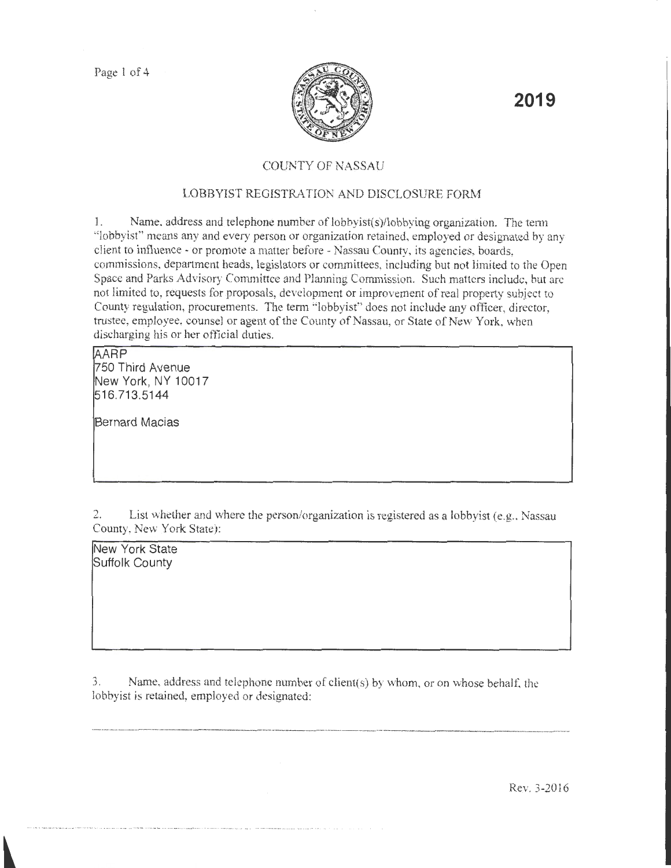

**2019** 

# COUNTY OF NASSAU

# LOBBYIST REGISTRATION AND DISCLOSURE FORM

1. Name. address and telephone number of lobbyist(s)/lobbying organization. The tenn "lobbyist" means any and every person or organization retained, employed or designated by any client to influence- or promote a matter before- Nassau County, its agencies, boards, commissions, department heads, legislators or committees, including but not limited to the Open Space and Parks Advisory Conunittce and Planning Commission. Such matters include, but arc not limited to, requests for proposals, development or improvement of real property subject to County regulation, procurements. The term "lobbyist" does not include any officer, director, trustee, employee, counsel or agent of the County of Nassau, or State of New York, when discharging his or her official duties.

### ~ARP

1750 Third Avenue New York, NY 10017 ~16 713 5144

Bernard Macias

2. List whether and where the person/organization is registered as a lobbyist (e.g., Nassau County, New York State):

New York State Suffolk County

3. Name, address and telephone number of client(s) by whom, or on whose behalt: the lobbyist is retained, employed or designated:

·--------

Rev. 3-2016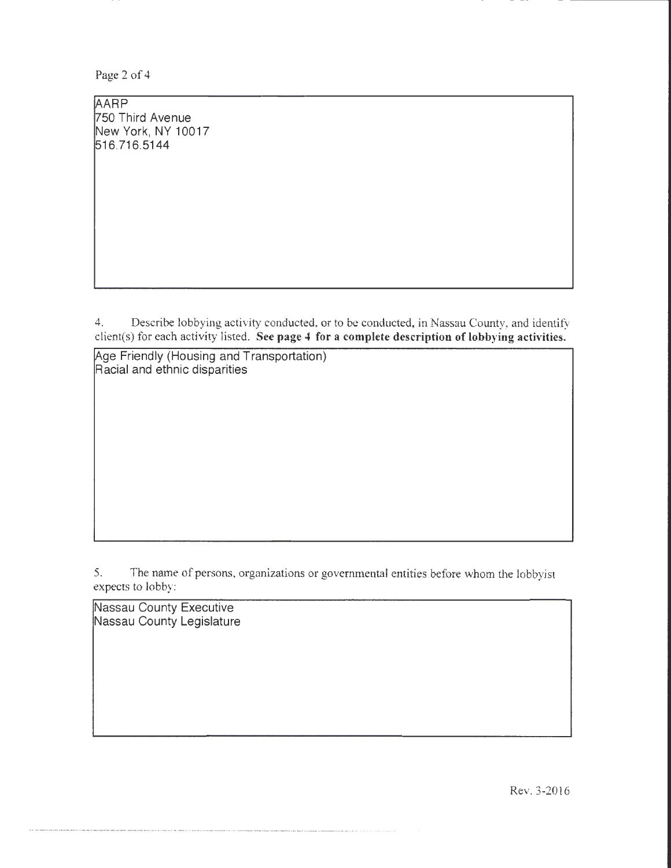Page 2 of 4

AARP 750 Third Avenue New York, NY 10017 516.716.5144

4. Describe lobbying activity conducted, or to be conducted, in Nassau County, and identify dient(s) for each activity listed. See page 4 for a complete description of lobbying activities.

Age Friendly (Housing and Transportation) Racial and ethnic disparities

5. The name of persons, organizations or governmental entities before whom the lobbyist expects to lobby:

Nassau County Executive Nassau County Legislature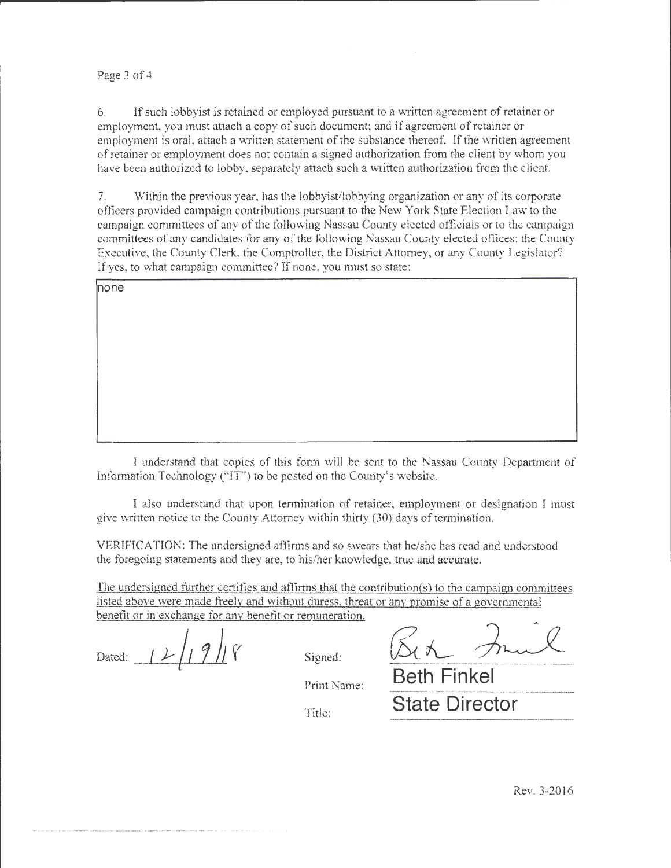### Page 3 of 4

6. If such lobbyist is retained or employed pursuant to a written agreement of retainer or employment, you must attach a copy of such document; and if agreement of retainer or employment is oral, attach a written statement of the substance thereof. If the written agreement of retainer or employment does not contain a signed authorization from the client by whom you have been authorized to lobby, separately attach such a written authorization from the client.

7. Within the previous year, has the lobbyist/lobbying organization or any of its corporate officers provided campaign contributions pursuant to the New York State Election Law to the campaign committees of any of the following Nassau County elected officials or to the campaign committees of any candidates for any of the following Nassau County elected offices: the County Executive, the County Clerk, the Comptroller, the District Attorney, or any County Legislator? If yes, to what campaign committee? If none, you must so state:

| none |  |
|------|--|
|      |  |
|      |  |
|      |  |
|      |  |
|      |  |
|      |  |
|      |  |
|      |  |

I understand that copies of this form will be sent to the Nassau County Department of Information Technology ("IT') to be posted on the County's website.

I also understand that upon termination of retainer, employment or designation I must give written notice to the County Attorney within thirty (30) days of termination.

VERIFICATION: The undersigned affirms and so swears that he/she has read and understood the foregoing statements and they are, to his/her knowledge, tme and accurate.

The undersigned further certifies and affirms that the contribution(s) to the campaign committees listed above were made freely and without duress, threat or any promise of a governmental benefit or in exchange for any benefit or remuneration.

Dated:  $|2| 9|$   $\gamma$  signed:  $\sqrt{5}(\kappa)$ 

Print Name: **Beth Finkel** Title: **State Director**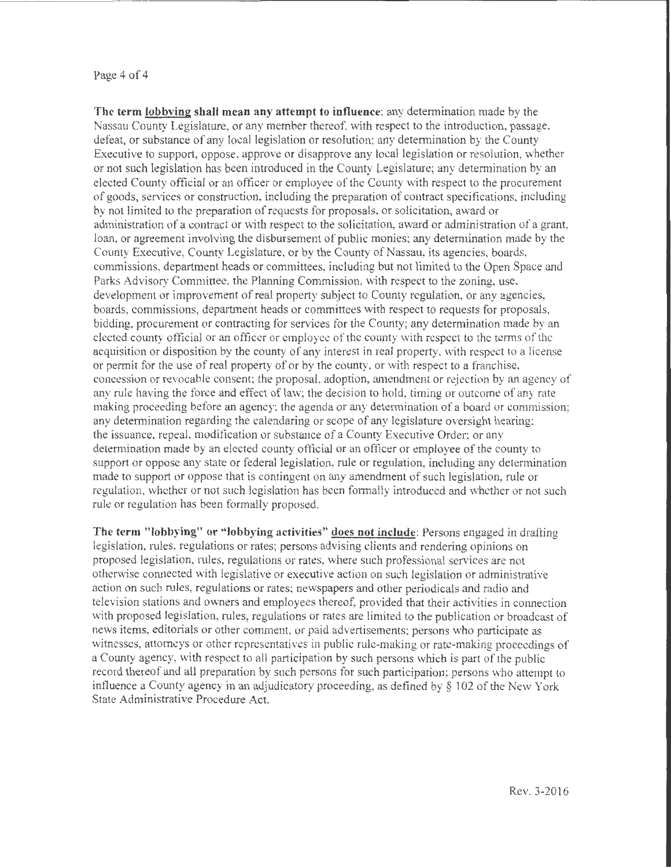#### Page 4 of 4

**The term lobbving shall mean any attempt to intluencc:** any determination made by the Nassau County Legislature, or any member thereof, with respect to the introduction, passage. defeat, or substance of any local legislation or resolution; any determination by the County Executive to support, oppose, approve or disapprove any local legislation or resolution, whether or not such legislation bas been introduced in the County Legislature; any determination by an elected Cotmty official or an ofticer or employee of the County vvith respect to the procurement of goods, services or construction, including the preparation of contract specifications, including by not limited to the preparation of requests for proposals, or solicitation, award or administration of a contract or \Vith respect to the solicitation, award or administration of a grant, loan, or agreement involving the disbursement of public monies; any determination made by the County Executive, County Legislature, or by the County of Nassau, its agencies, boards, commissions, department heads or committees, including but not limited to the Open Space and Parks Advisory Committee. the Planning Commission, with respect to the zoning. use, development or improvement of real property subject to County regulation, or any agencies, boards, commissions, department heads or committees with respect to requests for proposals, bidding, procurement or contracting for services for the County; any determination made by an elected county official or an officer or employee of the county with respect to the terms of the acquisition or disposition by the county of any interest in real property, with respect to a license or permit for the use of real property of or by the county, or with respect to a franchise. concession or revocable consent; the proposal, adoption, amendment or rejection by an agency of any rule having the force and effect of law; the decision to hold, timing or outcome of any rate making proceeding before an agency; the agenda or any determination of a board or commission; any detennination regarding the calendaring or scope of any legislature oversight hearing; the issuance. repeal, modification or substance of a County Executive Order; or any determination made by an elected county official or an officer or employee of the county to support or oppose any state or federal legislation, rule or regulation, including any determination made to support or oppose that is contingent on any amendment of such legislation, rule or regulation, whether or not such legislation has been fotmally introduced and whether or not such rule or regulation has been formally proposed.

**The term "lobbying" or "lobbying activities" does not include:** Persons engaged in drafting legislation, rules, regulations or rates; persons advising clients and rendering opinions on proposed legislation, rules, regulations or rates, where such professional services are not otherwise connected with legislative or executive action on such legislation or administrative action on such rules, regulations or rates; newspapers and other periodicals and radio and television stations and owners and employees thereof, provided that their activities in connection with proposed legislation, rules, regulations or rates are limited to the publication or broadcast of news items, editorials or other comment, or paid advertisements; persons who participate as witnesses, attorneys or other representatives in public rule-making or rate-making proceedings of a County agency, with respect to all participation by such persons which is part of the public record thereof and all preparation by such persons for such participation; persons who attempt to inf1uence a County agency in an adjudicatory proceeding, as defined by§ 102 of the New York State Administrative Procedure Act.